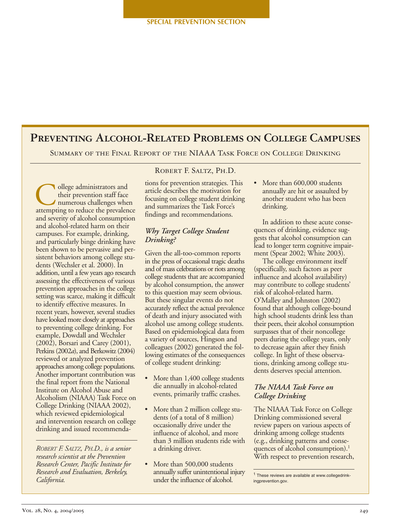# **Preventing Alcohol-Related Problems on College Campuses**

Summary of the Final Report of the NIAAA Task Force on College Drinking

College administrators and<br>their prevention staff face<br>attempting to reduce the prevalence their prevention staff face numerous challenges when and severity of alcohol consumption and alcohol-related harm on their campuses. For example, drinking, and particularly binge drinking have been shown to be pervasive and persistent behaviors among college students (Wechsler et al. 2000). In addition, until a few years ago research assessing the effectiveness of various prevention approaches in the college setting was scarce, making it difficult to identify effective measures. In recent years, however, several studies have looked more closely at approaches to preventing college drinking. For example, Dowdall and Wechsler (2002), Borsari and Carey (2001), Perkins (2002*a*), and Berkowitz (2004) reviewed or analyzed prevention approaches among college populations. Another important contribution was the final report from the National Institute on Alcohol Abuse and Alcoholism (NIAAA) Task Force on College Drinking (NIAAA 2002), which reviewed epidemiological and intervention research on college drinking and issued recommenda-

*ROBERT F. SALTZ, PH.D., is a senior research scientist at the Prevention Research Center, Pacific Institute for Research and Evaluation, Berkeley, California.* 

#### ROBERT F. SALTZ, PH.D.

tions for prevention strategies. This article describes the motivation for focusing on college student drinking and summarizes the Task Force's findings and recommendations.

### *Why Target College Student Drinking?*

Given the all-too-common reports in the press of occasional tragic deaths and of mass celebrations or riots among college students that are accompanied by alcohol consumption, the answer to this question may seem obvious. But these singular events do not accurately reflect the actual prevalence of death and injury associated with alcohol use among college students. Based on epidemiological data from a variety of sources, Hingson and colleagues (2002) generated the following estimates of the consequences of college student drinking:

- More than  $1,400$  college students die annually in alcohol-related events, primarily traffic crashes.
- More than 2 million college students (of a total of 8 million) occasionally drive under the influence of alcohol, and more than 3 million students ride with a drinking driver.
- More than 500,000 students annually suffer unintentional injury under the influence of alcohol.

• More than 600,000 students annually are hit or assaulted by another student who has been drinking.

In addition to these acute consequences of drinking, evidence suggests that alcohol consumption can lead to longer term cognitive impairment (Spear 2002; White 2003).

The college environment itself (specifically, such factors as peer influence and alcohol availability) may contribute to college students' risk of alcohol-related harm. O'Malley and Johnston (2002) found that although college-bound high school students drink less than their peers, their alcohol consumption surpasses that of their noncollege peers during the college years, only to decrease again after they finish college. In light of these observations, drinking among college students deserves special attention.

## *The NIAAA Task Force on College Drinking*

The NIAAA Task Force on College Drinking commissioned several review papers on various aspects of drinking among college students (e.g., drinking patterns and consequences of alcohol consumption).<sup>1</sup> With respect to prevention research,

<sup>1</sup> These reviews are available at www.collegedrinkingprevention.gov.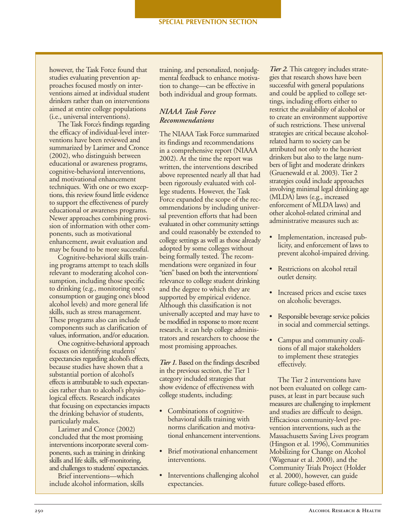however, the Task Force found that studies evaluating prevention approaches focused mostly on interventions aimed at individual student drinkers rather than on interventions aimed at entire college populations (i.e., universal interventions).

The Task Force's findings regarding the efficacy of individual-level interventions have been reviewed and summarized by Larimer and Cronce (2002), who distinguish between educational or awareness programs, cognitive-behavioral interventions, and motivational enhancement techniques. With one or two exceptions, this review found little evidence to support the effectiveness of purely educational or awareness programs. Newer approaches combining provision of information with other components, such as motivational enhancement, await evaluation and may be found to be more successful. 

Cognitive-behavioral skills training programs attempt to teach skills relevant to moderating alcohol consumption, including those specific to drinking (e.g., monitoring one's consumption or gauging one's blood alcohol levels) and more general life skills, such as stress management. These programs also can include components such as clarification of values, information, and/or education.

One cognitive-behavioral approach focuses on identifying students' expectancies regarding alcohol's effects, because studies have shown that a substantial portion of alcohol's effects is attributable to such expectancies rather than to alcohol's physiological effects. Research indicates that focusing on expectancies impacts the drinking behavior of students, particularly males.

Larimer and Cronce (2002) concluded that the most promising interventions incorporate several components, such as training in drinking skills and life skills, self-monitoring, and challenges to students' expectancies.

Brief interventions—which include alcohol information, skills

training, and personalized, nonjudgmental feedback to enhance motivation to change—can be effective in both individual and group formats.

#### *NIAAA Task Force Recommendations*

The NIAAA Task Force summarized its findings and recommendations in a comprehensive report (NIAAA 2002). At the time the report was written, the interventions described above represented nearly all that had been rigorously evaluated with college students. However, the Task Force expanded the scope of the rec ommendations by including universal prevention efforts that had been evaluated in other community settings and could reasonably be extended to college settings as well as those already adopted by some colleges without being formally tested. The recommendations were organized in four "tiers" based on both the interventions' relevance to college student drinking and the degree to which they are supported by empirical evidence. Although this classification is not universally accepted and may have to be modified in response to more recent research, it can help college adminis trators and researchers to choose the most promising approaches.

*Tier 1.* Based on the findings described in the previous section, the Tier 1 category included strategies that show evidence of effectiveness with college students, including:

- Combinations of cognitivebehavioral skills training with norms clarification and motivational enhancement interventions.
- Brief motivational enhancement interventions.
- Interventions challenging alcohol expectancies.

*Tier 2.* This category includes strategies that research shows have been successful with general populations and could be applied to college settings, including efforts either to restrict the availability of alcohol or to create an environment supportive of such restrictions. These universal strategies are critical because alcoholrelated harm to society can be attributed not only to the heaviest drinkers but also to the large numbers of light and moderate drinkers (Gruenewald et al. 2003). Tier 2 strategies could include approaches involving minimal legal drinking age (MLDA) laws (e.g., increased enforcement of MLDA laws) and other alcohol-related criminal and administrative measures such as:

- Implementation, increased publicity, and enforcement of laws to prevent alcohol-impaired driving.
- Restrictions on alcohol retail outlet density.
- Increased prices and excise taxes on alcoholic beverages.
- Responsible beverage service policies in social and commercial settings.
- Campus and community coalitions of all major stakeholders to implement these strategies effectively.

The Tier 2 interventions have not been evaluated on college campuses, at least in part because such measures are challenging to implement and studies are difficult to design. Efficacious community-level prevention interventions, such as the Massachusetts Saving Lives program (Hingson et al. 1996), Communities Mobilizing for Change on Alcohol (Wagenaar et al. 2000), and the Community Trials Project (Holder et al. 2000), however, can guide future college-based efforts.